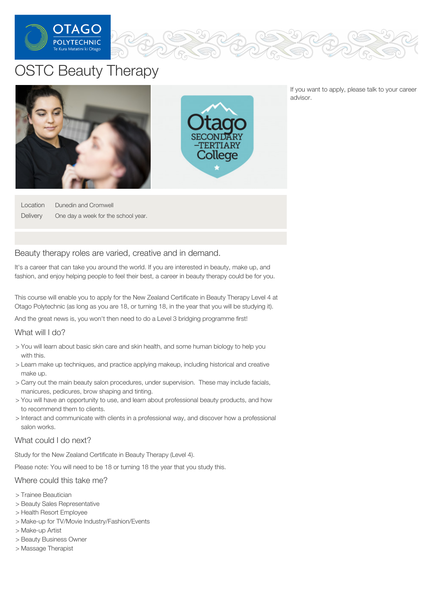

# OSTC Beauty Therapy



If you want to apply, please talk to your career advisor.

Location **Delivery** Dunedin and Cromwell One day a week for the school year.

# Beauty therapy roles are varied, creative and in demand.

It's a career that can take you around the world. If you are interested in beauty, make up, and fashion, and enjoy helping people to feel their best, a career in beauty therapy could be for you.

This course will enable you to apply for the New Zealand Certificate in Beauty Therapy Level 4 at Otago Polytechnic (as long as you are 18, or turning 18, in the year that you will be studying it).

And the great news is, you won't then need to do a Level 3 bridging programme first!

## What will I do?

- > You will learn about basic skin care and skin health, and some human biology to help you with this.
- > Learn make up techniques, and practice applying makeup, including historical and creative make up.
- > Carry out the main beauty salon procedures, under supervision. These may include facials, manicures, pedicures, brow shaping and tinting.
- > You will have an opportunity to use, and learn about professional beauty products, and how to recommend them to clients.
- > Interact and communicate with clients in a professional way, and discover how a professional salon works.

### What could I do next?

Study for the New Zealand Certificate in Beauty Therapy (Level 4).

Please note: You will need to be 18 or turning 18 the year that you study this.

## Where could this take me?

- > Trainee Beautician
- > Beauty Sales Representative
- > Health Resort Employee
- > Make-up for TV/Movie Industry/Fashion/Events
- > Make-up Artist
- > Beauty Business Owner
- > Massage Therapist